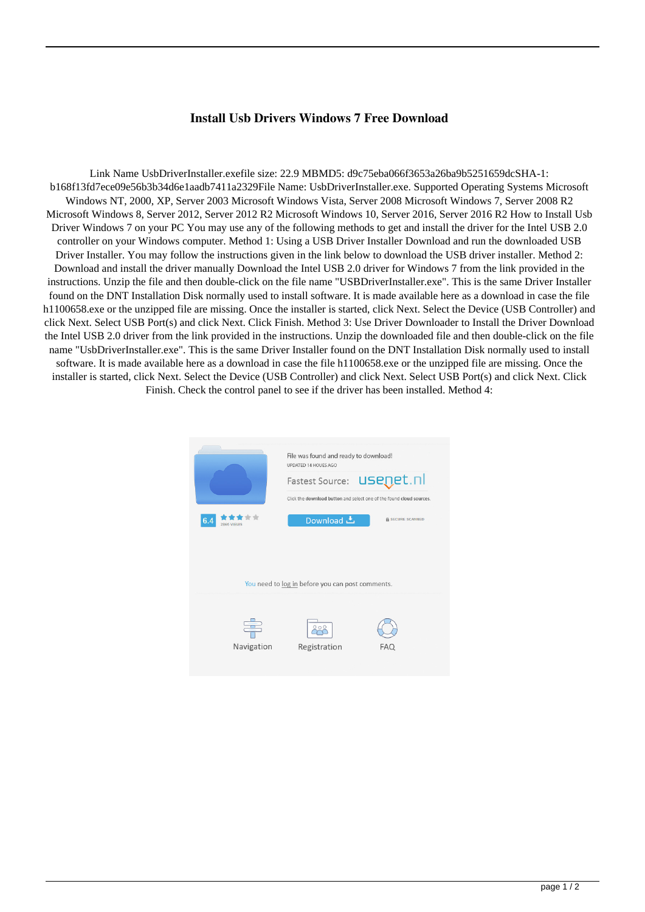## **Install Usb Drivers Windows 7 Free Download**

Link Name UsbDriverInstaller.exefile size: 22.9 MBMD5: d9c75eba066f3653a26ba9b5251659dcSHA-1: b168f13fd7ece09e56b3b34d6e1aadb7411a2329File Name: UsbDriverInstaller.exe. Supported Operating Systems Microsoft Windows NT, 2000, XP, Server 2003 Microsoft Windows Vista, Server 2008 Microsoft Windows 7, Server 2008 R2 Microsoft Windows 8, Server 2012, Server 2012 R2 Microsoft Windows 10, Server 2016, Server 2016 R2 How to Install Usb Driver Windows 7 on your PC You may use any of the following methods to get and install the driver for the Intel USB 2.0 controller on your Windows computer. Method 1: Using a USB Driver Installer Download and run the downloaded USB Driver Installer. You may follow the instructions given in the link below to download the USB driver installer. Method 2: Download and install the driver manually Download the Intel USB 2.0 driver for Windows 7 from the link provided in the instructions. Unzip the file and then double-click on the file name "USBDriverInstaller.exe". This is the same Driver Installer found on the DNT Installation Disk normally used to install software. It is made available here as a download in case the file h1100658.exe or the unzipped file are missing. Once the installer is started, click Next. Select the Device (USB Controller) and click Next. Select USB Port(s) and click Next. Click Finish. Method 3: Use Driver Downloader to Install the Driver Download the Intel USB 2.0 driver from the link provided in the instructions. Unzip the downloaded file and then double-click on the file name "UsbDriverInstaller.exe". This is the same Driver Installer found on the DNT Installation Disk normally used to install software. It is made available here as a download in case the file h1100658.exe or the unzipped file are missing. Once the installer is started, click Next. Select the Device (USB Controller) and click Next. Select USB Port(s) and click Next. Click Finish. Check the control panel to see if the driver has been installed. Method 4: